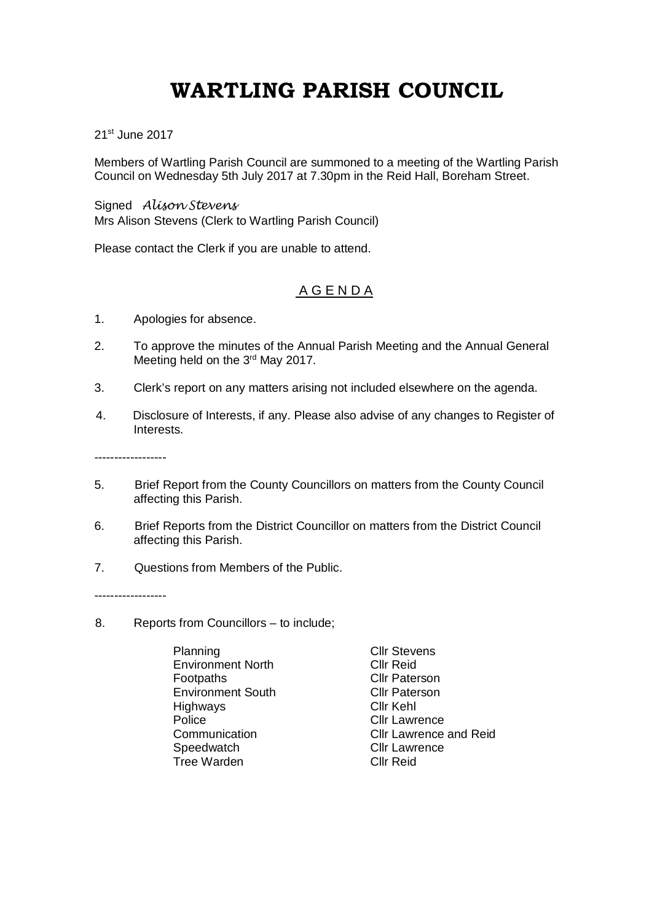## **WARTLING PARISH COUNCIL**

21st June 2017

Members of Wartling Parish Council are summoned to a meeting of the Wartling Parish Council on Wednesday 5th July 2017 at 7.30pm in the Reid Hall, Boreham Street.

Signed *Alison Stevens* Mrs Alison Stevens (Clerk to Wartling Parish Council)

Please contact the Clerk if you are unable to attend.

## A G E N D A

- 1. Apologies for absence.
- 2. To approve the minutes of the Annual Parish Meeting and the Annual General Meeting held on the 3<sup>rd</sup> May 2017.
- 3. Clerk's report on any matters arising not included elsewhere on the agenda.
- 4. Disclosure of Interests, if any. Please also advise of any changes to Register of Interests.

------------------

- 5. Brief Report from the County Councillors on matters from the County Council affecting this Parish.
- 6. Brief Reports from the District Councillor on matters from the District Council affecting this Parish.
- 7. Questions from Members of the Public.

------------------

- 8. Reports from Councillors to include;
	- Planning Cllr Stevens Environment North<br>Footpaths Environment South Cllr Pater<br>Highways Cllr Kehl Highways<br>Police Tree Warden Cllr Reid

**Cllr Paterson**<br>Cllr Paterson **Cllr Lawrence** Communication Cllr Lawrence and Reid<br>
Speedwatch Cllr Lawrence **Cllr Lawrence**